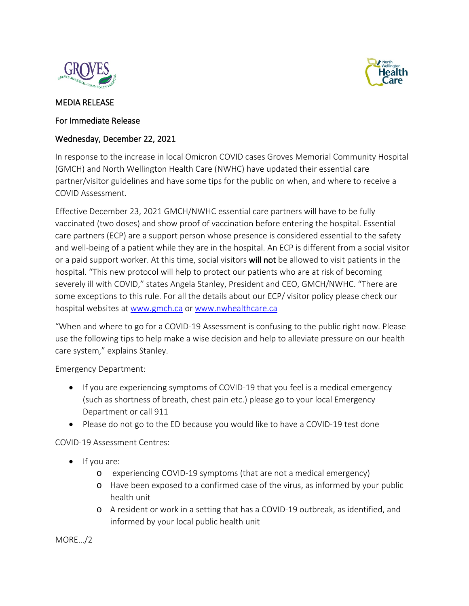



## MEDIA RELEASE

## For Immediate Release

## Wednesday, December 22, 2021

In response to the increase in local Omicron COVID cases Groves Memorial Community Hospital (GMCH) and North Wellington Health Care (NWHC) have updated their essential care partner/visitor guidelines and have some tips for the public on when, and where to receive a COVID Assessment.

Effective December 23, 2021 GMCH/NWHC essential care partners will have to be fully vaccinated (two doses) and show proof of vaccination before entering the hospital. Essential care partners (ECP) are a support person whose presence is considered essential to the safety and well-being of a patient while they are in the hospital. An ECP is different from a social visitor or a paid support worker. At this time, social visitors will not be allowed to visit patients in the hospital. "This new protocol will help to protect our patients who are at risk of becoming severely ill with COVID," states Angela Stanley, President and CEO, GMCH/NWHC. "There are some exceptions to this rule. For all the details about our ECP/ visitor policy please check our hospital websites at [www.gmch.ca](http://www.gmch.ca/) or [www.nwhealthcare.ca](http://www.nwhealthcare.ca/) 

"When and where to go for a COVID-19 Assessment is confusing to the public right now. Please use the following tips to help make a wise decision and help to alleviate pressure on our health care system," explains Stanley.

Emergency Department:

- If you are experiencing symptoms of COVID-19 that you feel is a medical emergency (such as shortness of breath, chest pain etc.) please go to your local Emergency Department or call 911
- Please do not go to the ED because you would like to have a COVID-19 test done

COVID-19 Assessment Centres:

- If you are:
	- o experiencing COVID-19 symptoms (that are not a medical emergency)
	- o Have been exposed to a confirmed case of the virus, as informed by your public health unit
	- o A resident or work in a setting that has a COVID-19 outbreak, as identified, and informed by your local public health unit

MORE…/2